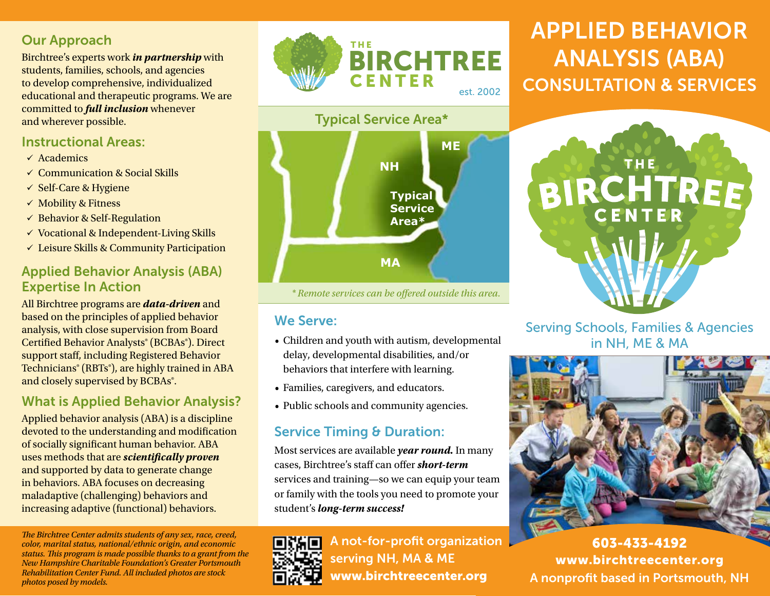## Our Approach

Birchtree's experts work *in partnership* with students, families, schools, and agencies to develop comprehensive, individualized educational and therapeutic programs. We are committed to *full inclusion* whenever and wherever possible.

#### Instructional Areas:

- $\checkmark$  Academics
- $\checkmark$  Communication & Social Skills
- $\checkmark$  Self-Care & Hygiene
- $\checkmark$  Mobility & Fitness
- $\checkmark$  Behavior & Self-Regulation
- $\checkmark$  Vocational & Independent-Living Skills
- $\checkmark$  Leisure Skills & Community Participation

## Applied Behavior Analysis (ABA) Expertise In Action

All Birchtree programs are *data-driven* and based on the principles of applied behavior analysis, with close supervision from Board Certified Behavior Analysts® (BCBAs®). Direct support staff, including Registered Behavior Technicians® (RBTs®), are highly trained in ABA and closely supervised by BCBAs<sup>®</sup>.

## What is Applied Behavior Analysis?

Applied behavior analysis (ABA) is a discipline devoted to the understanding and modification of socially significant human behavior. ABA uses methods that are *scientifically proven* and supported by data to generate change in behaviors. ABA focuses on decreasing maladaptive (challenging) behaviors and increasing adaptive (functional) behaviors.

*The Birchtree Center admits students of any sex, race, creed, color, marital status, national/ethnic origin, and economic status. This program is made possible thanks to a grant from the New Hampshire Charitable Foundation's Greater Portsmouth Rehabilitation Center Fund. All included photos are stock photos posed by models.* 



## Typical Service Area\*



*\* Remote services can be offered outside this area.*

### We Serve:

- Children and youth with autism, developmental delay, developmental disabilities, and/or behaviors that interfere with learning.
- Families, caregivers, and educators.
- Public schools and community agencies.

## Service Timing & Duration:

Most services are available *year round.* In many cases, Birchtree's staff can offer *short-term* services and training—so we can equip your team or family with the tools you need to promote your student's *long-term success!*

A not-for-profit organization serving NH, MA **&** ME www.birchtreecenter.org

# APPLIED BEHAVIOR ANALYSIS (ABA) CONSULTATION **&** SERVICES



Serving Schools, Families & Agencies in NH, ME & MA



603-433-4192 www.birchtreecenter.org A nonprofit based in Portsmouth, NH